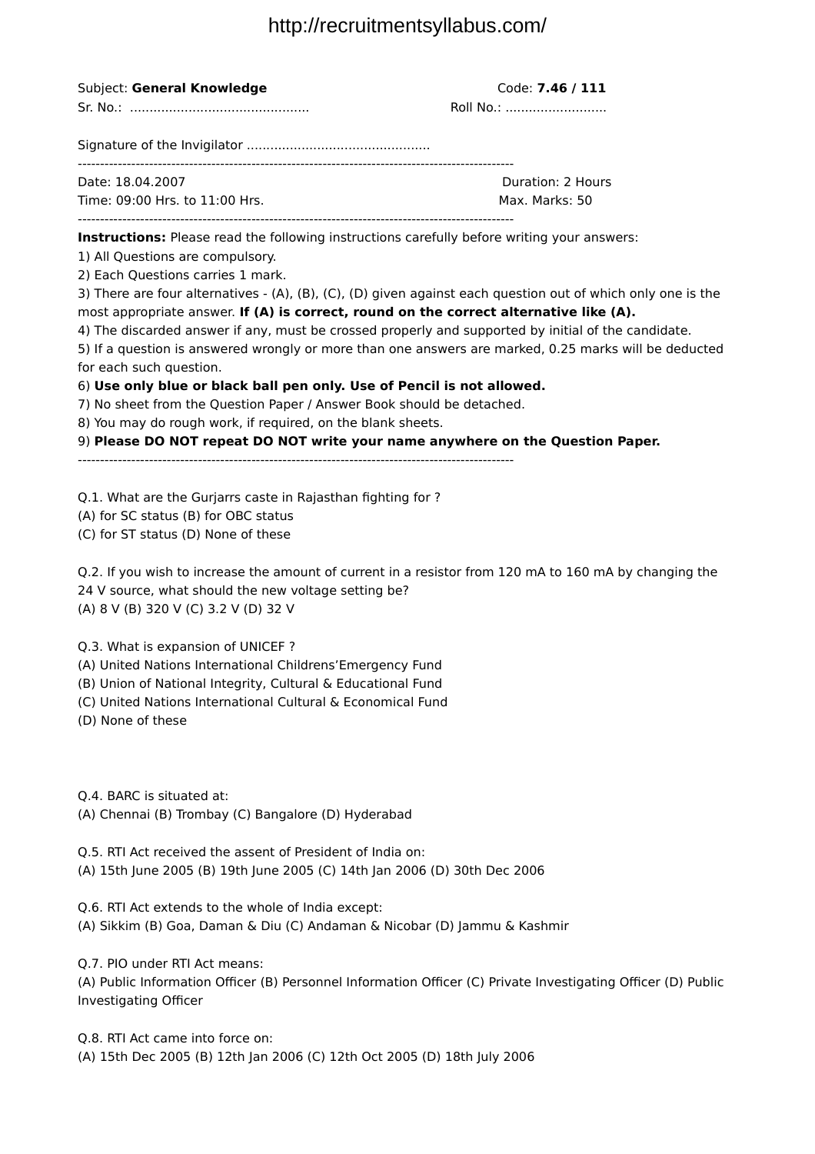| Subject: General Knowledge                                                                                                                                                                                                                                                                                                                                                                                                                                                                                                                                                                                                                                                                                                                                                                                                                                                                                                    | Code: 7.46 / 111<br>Roll No.:       |
|-------------------------------------------------------------------------------------------------------------------------------------------------------------------------------------------------------------------------------------------------------------------------------------------------------------------------------------------------------------------------------------------------------------------------------------------------------------------------------------------------------------------------------------------------------------------------------------------------------------------------------------------------------------------------------------------------------------------------------------------------------------------------------------------------------------------------------------------------------------------------------------------------------------------------------|-------------------------------------|
|                                                                                                                                                                                                                                                                                                                                                                                                                                                                                                                                                                                                                                                                                                                                                                                                                                                                                                                               |                                     |
| Date: 18.04.2007<br>Time: 09:00 Hrs. to 11:00 Hrs.                                                                                                                                                                                                                                                                                                                                                                                                                                                                                                                                                                                                                                                                                                                                                                                                                                                                            | Duration: 2 Hours<br>Max. Marks: 50 |
| Instructions: Please read the following instructions carefully before writing your answers:<br>1) All Questions are compulsory.<br>2) Each Questions carries 1 mark.<br>3) There are four alternatives - (A), (B), (C), (D) given against each question out of which only one is the<br>most appropriate answer. If (A) is correct, round on the correct alternative like (A).<br>4) The discarded answer if any, must be crossed properly and supported by initial of the candidate.<br>5) If a question is answered wrongly or more than one answers are marked, 0.25 marks will be deducted<br>for each such question.<br>6) Use only blue or black ball pen only. Use of Pencil is not allowed.<br>7) No sheet from the Question Paper / Answer Book should be detached.<br>8) You may do rough work, if required, on the blank sheets.<br>9) Please DO NOT repeat DO NOT write your name anywhere on the Question Paper. |                                     |
| Q.1. What are the Gurjarrs caste in Rajasthan fighting for?<br>(A) for SC status (B) for OBC status<br>(C) for ST status (D) None of these<br>Q.2. If you wish to increase the amount of current in a resistor from 120 mA to 160 mA by changing the<br>24 V source, what should the new voltage setting be?<br>(A) 8 V (B) 320 V (C) 3.2 V (D) 32 V<br>Q.3. What is expansion of UNICEF?<br>(A) United Nations International Childrens'Emergency Fund<br>(B) Union of National Integrity, Cultural & Educational Fund<br>(C) United Nations International Cultural & Economical Fund<br>(D) None of these                                                                                                                                                                                                                                                                                                                    |                                     |
| Q.4. BARC is situated at:<br>(A) Chennai (B) Trombay (C) Bangalore (D) Hyderabad<br>Q.5. RTI Act received the assent of President of India on:<br>(A) 15th June 2005 (B) 19th June 2005 (C) 14th Jan 2006 (D) 30th Dec 2006<br>Q.6. RTI Act extends to the whole of India except:<br>(A) Sikkim (B) Goa, Daman & Diu (C) Andaman & Nicobar (D) Jammu & Kashmir                                                                                                                                                                                                                                                                                                                                                                                                                                                                                                                                                                |                                     |

Q.7. PIO under RTI Act means: (A) Public Information Officer (B) Personnel Information Officer (C) Private Investigating Officer (D) Public Investigating Officer

Q.8. RTI Act came into force on: (A) 15th Dec 2005 (B) 12th Jan 2006 (C) 12th Oct 2005 (D) 18th July 2006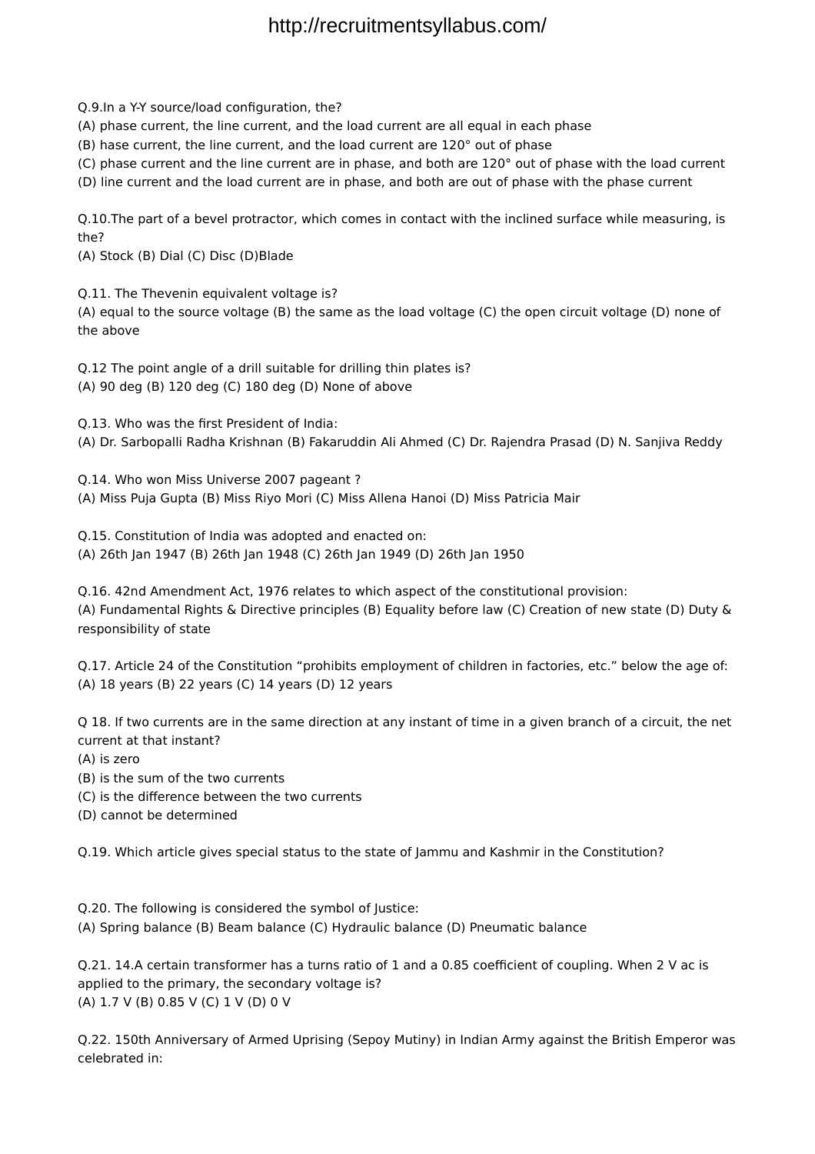Q.9.In a Y-Y source/load configuration, the?

(A) phase current, the line current, and the load current are all equal in each phase

(B) hase current, the line current, and the load current are 120° out of phase

(C) phase current and the line current are in phase, and both are 120° out of phase with the load current

(D) line current and the load current are in phase, and both are out of phase with the phase current

Q.10.The part of a bevel protractor, which comes in contact with the inclined surface while measuring, is the?

(A) Stock (B) Dial (C) Disc (D)Blade

Q.11. The Thevenin equivalent voltage is? (A) equal to the source voltage (B) the same as the load voltage (C) the open circuit voltage (D) none of the above

Q.12 The point angle of a drill suitable for drilling thin plates is? (A) 90 deg (B) 120 deg (C) 180 deg (D) None of above

Q.13. Who was the first President of India:

(A) Dr. Sarbopalli Radha Krishnan (B) Fakaruddin Ali Ahmed (C) Dr. Rajendra Prasad (D) N. Sanjiva Reddy

Q.14. Who won Miss Universe 2007 pageant ? (A) Miss Puja Gupta (B) Miss Riyo Mori (C) Miss Allena Hanoi (D) Miss Patricia Mair

Q.15. Constitution of India was adopted and enacted on: (A) 26th Jan 1947 (B) 26th Jan 1948 (C) 26th Jan 1949 (D) 26th Jan 1950

Q.16. 42nd Amendment Act, 1976 relates to which aspect of the constitutional provision: (A) Fundamental Rights & Directive principles (B) Equality before law (C) Creation of new state (D) Duty & responsibility of state

Q.17. Article 24 of the Constitution "prohibits employment of children in factories, etc." below the age of: (A) 18 years (B) 22 years (C) 14 years (D) 12 years

Q 18. If two currents are in the same direction at any instant of time in a given branch of a circuit, the net current at that instant?

(A) is zero

(B) is the sum of the two currents

(C) is the difference between the two currents

(D) cannot be determined

Q.19. Which article gives special status to the state of Jammu and Kashmir in the Constitution?

Q.20. The following is considered the symbol of Justice: (A) Spring balance (B) Beam balance (C) Hydraulic balance (D) Pneumatic balance

Q.21. 14.A certain transformer has a turns ratio of 1 and a 0.85 coefficient of coupling. When 2 V ac is applied to the primary, the secondary voltage is? (A) 1.7 V (B) 0.85 V (C) 1 V (D) 0 V

Q.22. 150th Anniversary of Armed Uprising (Sepoy Mutiny) in Indian Army against the British Emperor was celebrated in: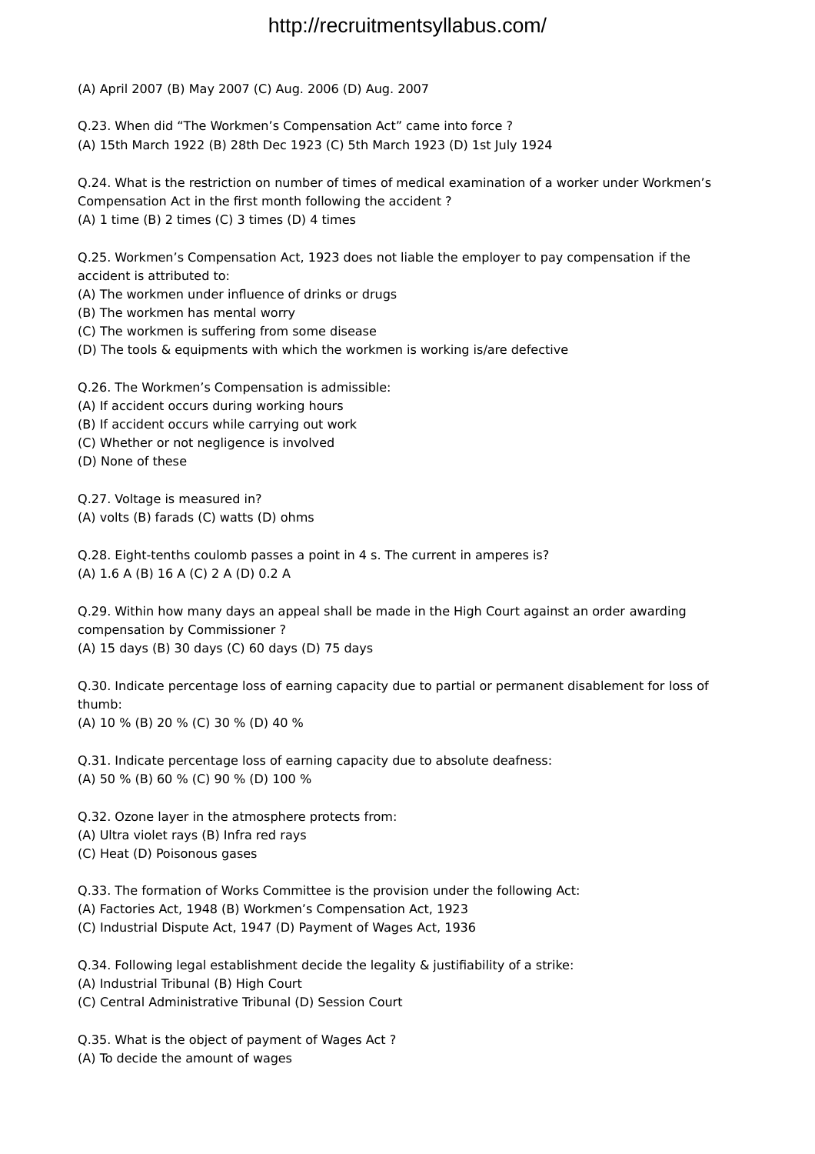(A) April 2007 (B) May 2007 (C) Aug. 2006 (D) Aug. 2007

Q.23. When did "The Workmen's Compensation Act" came into force ? (A) 15th March 1922 (B) 28th Dec 1923 (C) 5th March 1923 (D) 1st July 1924

Q.24. What is the restriction on number of times of medical examination of a worker under Workmen's Compensation Act in the first month following the accident ? (A) 1 time (B) 2 times (C) 3 times (D) 4 times

Q.25. Workmen's Compensation Act, 1923 does not liable the employer to pay compensation if the accident is attributed to:

(A) The workmen under influence of drinks or drugs

(B) The workmen has mental worry

(C) The workmen is suffering from some disease

(D) The tools & equipments with which the workmen is working is/are defective

Q.26. The Workmen's Compensation is admissible:

(A) If accident occurs during working hours

(B) If accident occurs while carrying out work

(C) Whether or not negligence is involved

(D) None of these

Q.27. Voltage is measured in? (A) volts (B) farads (C) watts (D) ohms

Q.28. Eight-tenths coulomb passes a point in 4 s. The current in amperes is? (A) 1.6 A (B) 16 A (C) 2 A (D) 0.2 A

Q.29. Within how many days an appeal shall be made in the High Court against an order awarding compensation by Commissioner ? (A) 15 days (B) 30 days (C) 60 days (D) 75 days

Q.30. Indicate percentage loss of earning capacity due to partial or permanent disablement for loss of thumb: (A) 10 % (B) 20 % (C) 30 % (D) 40 %

Q.31. Indicate percentage loss of earning capacity due to absolute deafness: (A) 50 % (B) 60 % (C) 90 % (D) 100 %

Q.32. Ozone layer in the atmosphere protects from: (A) Ultra violet rays (B) Infra red rays (C) Heat (D) Poisonous gases

Q.33. The formation of Works Committee is the provision under the following Act: (A) Factories Act, 1948 (B) Workmen's Compensation Act, 1923 (C) Industrial Dispute Act, 1947 (D) Payment of Wages Act, 1936

Q.34. Following legal establishment decide the legality & justifiability of a strike: (A) Industrial Tribunal (B) High Court (C) Central Administrative Tribunal (D) Session Court

Q.35. What is the object of payment of Wages Act ? (A) To decide the amount of wages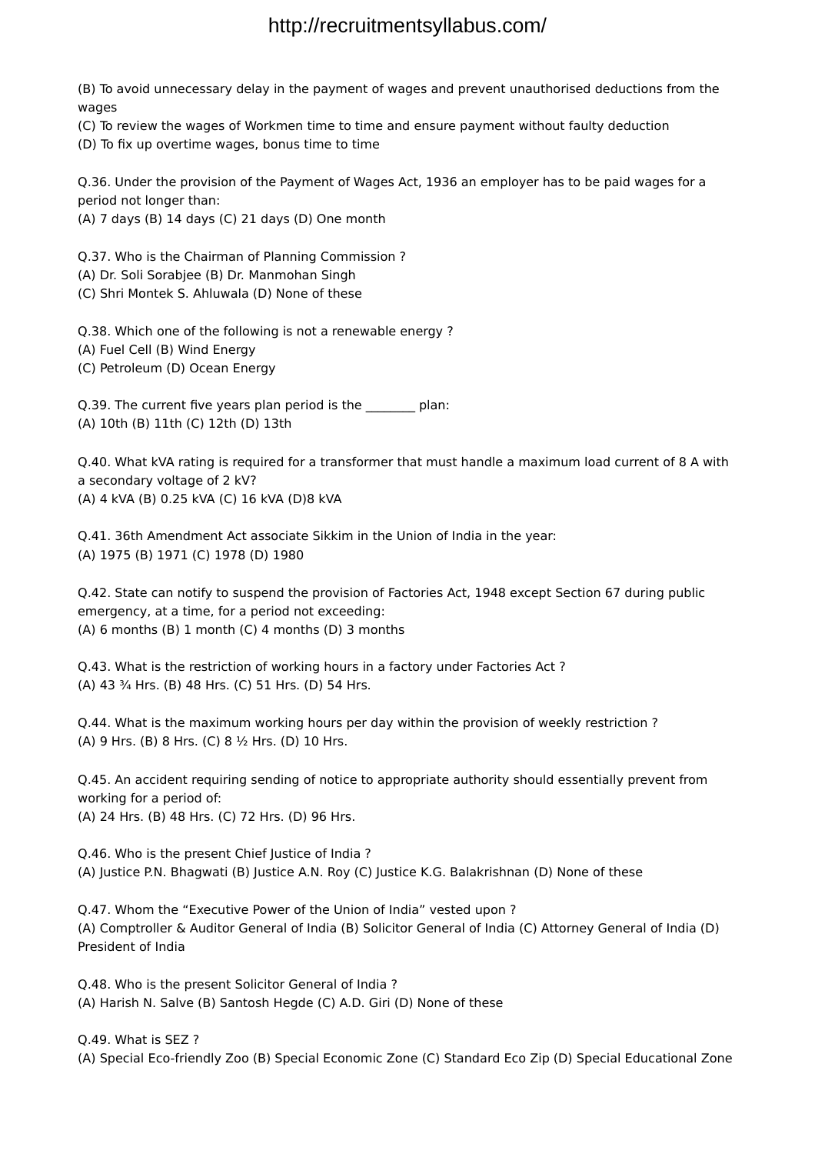(B) To avoid unnecessary delay in the payment of wages and prevent unauthorised deductions from the wages

(C) To review the wages of Workmen time to time and ensure payment without faulty deduction

(D) To fix up overtime wages, bonus time to time

Q.36. Under the provision of the Payment of Wages Act, 1936 an employer has to be paid wages for a period not longer than:

(A) 7 days (B) 14 days (C) 21 days (D) One month

Q.37. Who is the Chairman of Planning Commission ? (A) Dr. Soli Sorabjee (B) Dr. Manmohan Singh (C) Shri Montek S. Ahluwala (D) None of these

Q.38. Which one of the following is not a renewable energy ? (A) Fuel Cell (B) Wind Energy (C) Petroleum (D) Ocean Energy

Q.39. The current five years plan period is the \_\_\_\_\_\_\_\_ plan: (A) 10th (B) 11th (C) 12th (D) 13th

Q.40. What kVA rating is required for a transformer that must handle a maximum load current of 8 A with a secondary voltage of 2 kV? (A) 4 kVA (B) 0.25 kVA (C) 16 kVA (D)8 kVA

Q.41. 36th Amendment Act associate Sikkim in the Union of India in the year: (A) 1975 (B) 1971 (C) 1978 (D) 1980

Q.42. State can notify to suspend the provision of Factories Act, 1948 except Section 67 during public emergency, at a time, for a period not exceeding: (A) 6 months (B) 1 month (C) 4 months (D) 3 months

Q.43. What is the restriction of working hours in a factory under Factories Act ? (A) 43 ¾ Hrs. (B) 48 Hrs. (C) 51 Hrs. (D) 54 Hrs.

Q.44. What is the maximum working hours per day within the provision of weekly restriction ? (A) 9 Hrs. (B) 8 Hrs. (C) 8 ½ Hrs. (D) 10 Hrs.

Q.45. An accident requiring sending of notice to appropriate authority should essentially prevent from working for a period of: (A) 24 Hrs. (B) 48 Hrs. (C) 72 Hrs. (D) 96 Hrs.

Q.46. Who is the present Chief Justice of India ? (A) Justice P.N. Bhagwati (B) Justice A.N. Roy (C) Justice K.G. Balakrishnan (D) None of these

Q.47. Whom the "Executive Power of the Union of India" vested upon ? (A) Comptroller & Auditor General of India (B) Solicitor General of India (C) Attorney General of India (D) President of India

Q.48. Who is the present Solicitor General of India ? (A) Harish N. Salve (B) Santosh Hegde (C) A.D. Giri (D) None of these

Q.49. What is SEZ ? (A) Special Eco-friendly Zoo (B) Special Economic Zone (C) Standard Eco Zip (D) Special Educational Zone